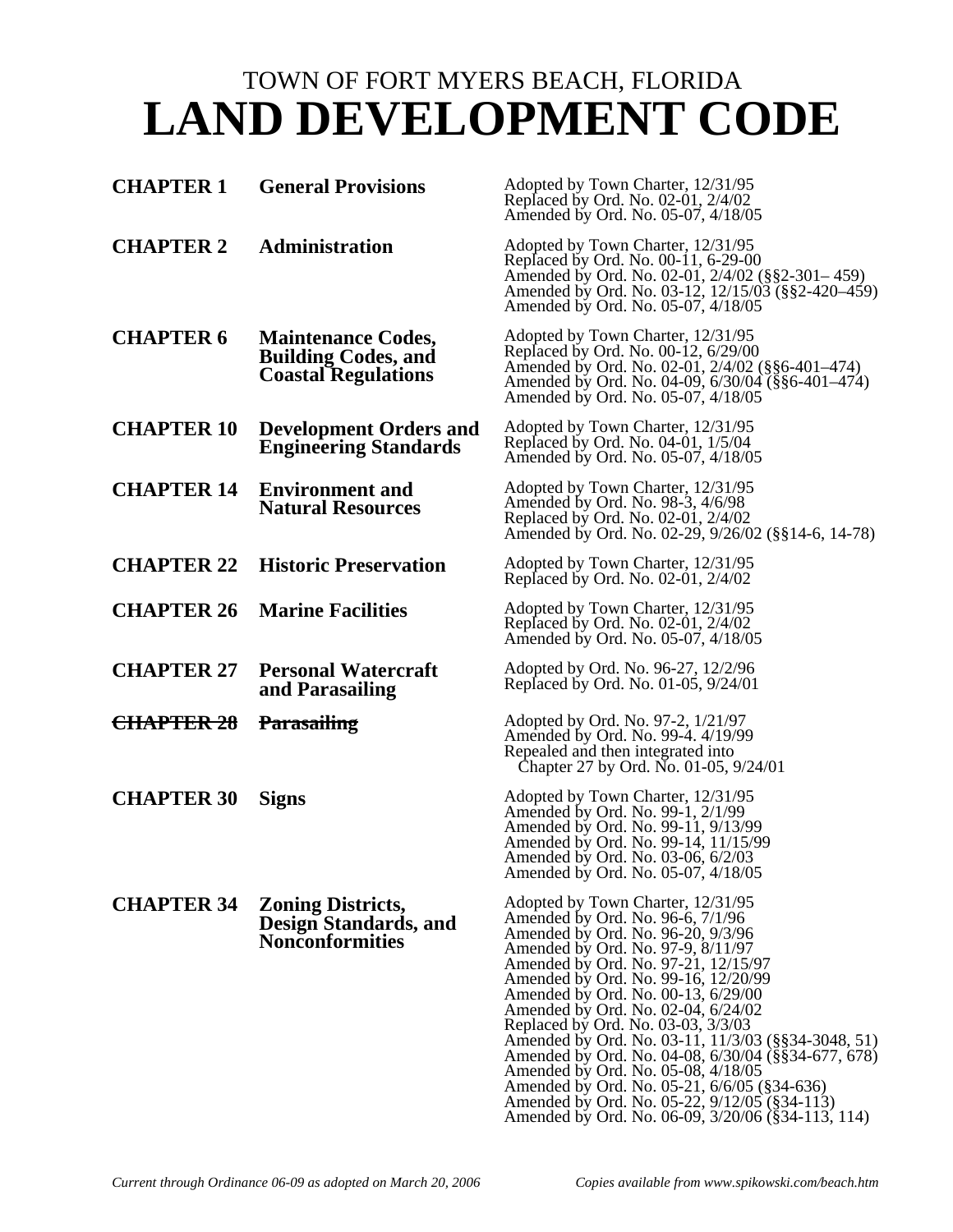# TOWN OF FORT MYERS BEACH, FLORIDA **LAND DEVELOPMENT CODE**

| <b>CHAPTER 1</b>  | <b>General Provisions</b>                                                             | Adopted by Town Charter, 12/31/95<br>Replaced by Ord. No. 02-01, 2/4/02<br>Amended by Ord. No. 05-07, 4/18/05                                                                                                                                                                                                                                                                                                                                                                                                                                                                                                                                         |
|-------------------|---------------------------------------------------------------------------------------|-------------------------------------------------------------------------------------------------------------------------------------------------------------------------------------------------------------------------------------------------------------------------------------------------------------------------------------------------------------------------------------------------------------------------------------------------------------------------------------------------------------------------------------------------------------------------------------------------------------------------------------------------------|
| <b>CHAPTER 2</b>  | <b>Administration</b>                                                                 | Adopted by Town Charter, 12/31/95<br>Replaced by Ord. No. 00-11, 6-29-00<br>Amended by Ord. No. 02-01, 2/4/02 (§§2-301–459)<br>Amended by Ord. No. 03-12, 12/15/03 (§§2-420-459)<br>Amended by Ord. No. 05-07, 4/18/05                                                                                                                                                                                                                                                                                                                                                                                                                                |
| <b>CHAPTER 6</b>  | <b>Maintenance Codes,</b><br><b>Building Codes, and</b><br><b>Coastal Regulations</b> | Adopted by Town Charter, 12/31/95<br>Replaced by Ord. No. 00-12, 6/29/00<br>Amended by Ord. No. 02-01, 2/4/02 (§§6-401–474)<br>Amended by Ord. No. 04-09, 6/30/04 (§§6-401–474)<br>Amended by Ord. No. 05-07, 4/18/05                                                                                                                                                                                                                                                                                                                                                                                                                                 |
| <b>CHAPTER 10</b> | <b>Development Orders and</b><br><b>Engineering Standards</b>                         | Adopted by Town Charter, 12/31/95<br>Replaced by Ord. No. 04-01, 1/5/04<br>Amended by Ord. No. 05-07, 4/18/05                                                                                                                                                                                                                                                                                                                                                                                                                                                                                                                                         |
| <b>CHAPTER 14</b> | <b>Environment and</b><br><b>Natural Resources</b>                                    | Adopted by Town Charter, 12/31/95<br>Amended by Ord. No. 98-3, 4/6/98<br>Replaced by Ord. No. 02-01, 2/4/02<br>Amended by Ord. No. 02-29, 9/26/02 (§§14-6, 14-78)                                                                                                                                                                                                                                                                                                                                                                                                                                                                                     |
| <b>CHAPTER 22</b> | <b>Historic Preservation</b>                                                          | Adopted by Town Charter, 12/31/95<br>Replaced by Ord. No. 02-01, 2/4/02                                                                                                                                                                                                                                                                                                                                                                                                                                                                                                                                                                               |
| <b>CHAPTER 26</b> | <b>Marine Facilities</b>                                                              | Adopted by Town Charter, 12/31/95<br>Replaced by Ord. No. 02-01, 2/4/02<br>Amended by Ord. No. 05-07, 4/18/05                                                                                                                                                                                                                                                                                                                                                                                                                                                                                                                                         |
| <b>CHAPTER 27</b> | <b>Personal Watercraft</b><br>and Parasailing                                         | Adopted by Ord. No. 96-27, 12/2/96<br>Replaced by Ord. No. 01-05, 9/24/01                                                                                                                                                                                                                                                                                                                                                                                                                                                                                                                                                                             |
| CHAPTER 28        | <b>Parasailing</b>                                                                    | Adopted by Ord. No. 97-2, 1/21/97<br>Amended by Ord. No. 99-4. 4/19/99<br>Repealed and then integrated into<br>Chapter 27 by Ord. No. 01-05, 9/24/01                                                                                                                                                                                                                                                                                                                                                                                                                                                                                                  |
| <b>CHAPTER 30</b> | <b>Signs</b>                                                                          | Adopted by Town Charter, 12/31/95<br>Amended by Ord. No. 99-1, 2/1/99<br>Amended by Ord. No. 99-11, 9/13/99<br>Amended by Ord. No. 99-14, 11/15/99<br>Amended by Ord. No. 03-06, 6/2/03<br>Amended by Ord. No. 05-07, 4/18/05                                                                                                                                                                                                                                                                                                                                                                                                                         |
| <b>CHAPTER 34</b> | <b>Zoning Districts,</b><br><b>Design Standards, and</b><br><b>Nonconformities</b>    | Adopted by Town Charter, 12/31/95<br>Amended by Ord. No. 96-6, 7/1/96<br>Amended by Ord. No. 96-20, 9/3/96<br>Amended by Ord. No. 97-9, 8/11/97<br>Amended by Ord. No. 97-21, 12/15/97<br>Amended by Ord. No. 99-16, 12/20/99<br>Amended by Ord. No. 00-13, 6/29/00<br>Amended by Ord. No. 02-04, 6/24/02<br>Replaced by Ord. No. 03-03, 3/3/03<br>Amended by Ord. No. 03-11, 11/3/03 (§§34-3048, 51)<br>Amended by Ord. No. 04-08, 6/30/04 (§§34-677, 678)<br>Amended by Ord. No. 05-08, 4/18/05<br>Amended by Ord. No. 05-21, 6/6/05 (§34-636)<br>Amended by Ord. No. 05-22, 9/12/05 (§34-113)<br>Amended by Ord. No. 06-09, 3/20/06 (§34-113, 114) |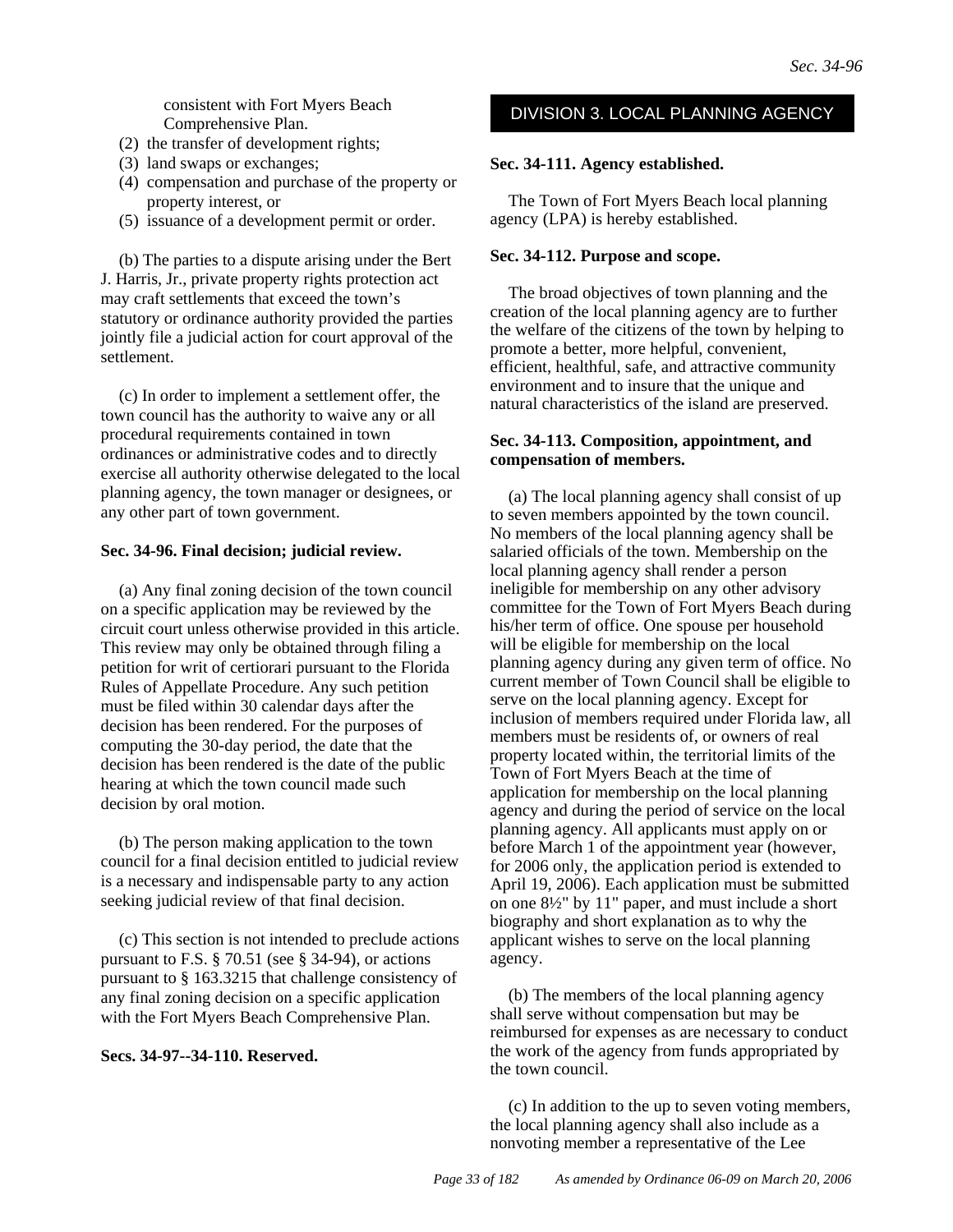DIVISION 3. LOCAL PLANNING AGENCY consistent with Fort Myers Beach Comprehensive Plan.

- (2) the transfer of development rights;
- (3) land swaps or exchanges;
- (4) compensation and purchase of the property or property interest, or
- (5) issuance of a development permit or order.

(b) The parties to a dispute arising under the Bert J. Harris, Jr., private property rights protection act may craft settlements that exceed the town's statutory or ordinance authority provided the parties jointly file a judicial action for court approval of the settlement.

(c) In order to implement a settlement offer, the town council has the authority to waive any or all procedural requirements contained in town ordinances or administrative codes and to directly exercise all authority otherwise delegated to the local planning agency, the town manager or designees, or any other part of town government.

#### **Sec. 34-96. Final decision; judicial review.**

(a) Any final zoning decision of the town council on a specific application may be reviewed by the circuit court unless otherwise provided in this article. This review may only be obtained through filing a petition for writ of certiorari pursuant to the Florida Rules of Appellate Procedure. Any such petition must be filed within 30 calendar days after the decision has been rendered. For the purposes of computing the 30-day period, the date that the decision has been rendered is the date of the public hearing at which the town council made such decision by oral motion.

(b) The person making application to the town council for a final decision entitled to judicial review is a necessary and indispensable party to any action seeking judicial review of that final decision.

(c) This section is not intended to preclude actions pursuant to F.S.  $\S 70.51$  (see  $\S 34-94$ ), or actions pursuant to § 163.3215 that challenge consistency of any final zoning decision on a specific application with the Fort Myers Beach Comprehensive Plan.

#### **Secs. 34-97--34-110. Reserved.**

#### **Sec. 34-111. Agency established.**

The Town of Fort Myers Beach local planning agency (LPA) is hereby established.

#### **Sec. 34-112. Purpose and scope.**

The broad objectives of town planning and the creation of the local planning agency are to further the welfare of the citizens of the town by helping to promote a better, more helpful, convenient, efficient, healthful, safe, and attractive community environment and to insure that the unique and natural characteristics of the island are preserved.

#### **Sec. 34-113. Composition, appointment, and compensation of members.**

(a) The local planning agency shall consist of up to seven members appointed by the town council. No members of the local planning agency shall be salaried officials of the town. Membership on the local planning agency shall render a person ineligible for membership on any other advisory committee for the Town of Fort Myers Beach during his/her term of office. One spouse per household will be eligible for membership on the local planning agency during any given term of office. No current member of Town Council shall be eligible to serve on the local planning agency. Except for inclusion of members required under Florida law, all members must be residents of, or owners of real property located within, the territorial limits of the Town of Fort Myers Beach at the time of application for membership on the local planning agency and during the period of service on the local planning agency. All applicants must apply on or before March 1 of the appointment year (however, for 2006 only, the application period is extended to April 19, 2006). Each application must be submitted on one 8½" by 11" paper, and must include a short biography and short explanation as to why the applicant wishes to serve on the local planning agency.

(b) The members of the local planning agency shall serve without compensation but may be reimbursed for expenses as are necessary to conduct the work of the agency from funds appropriated by the town council.

(c) In addition to the up to seven voting members, the local planning agency shall also include as a nonvoting member a representative of the Lee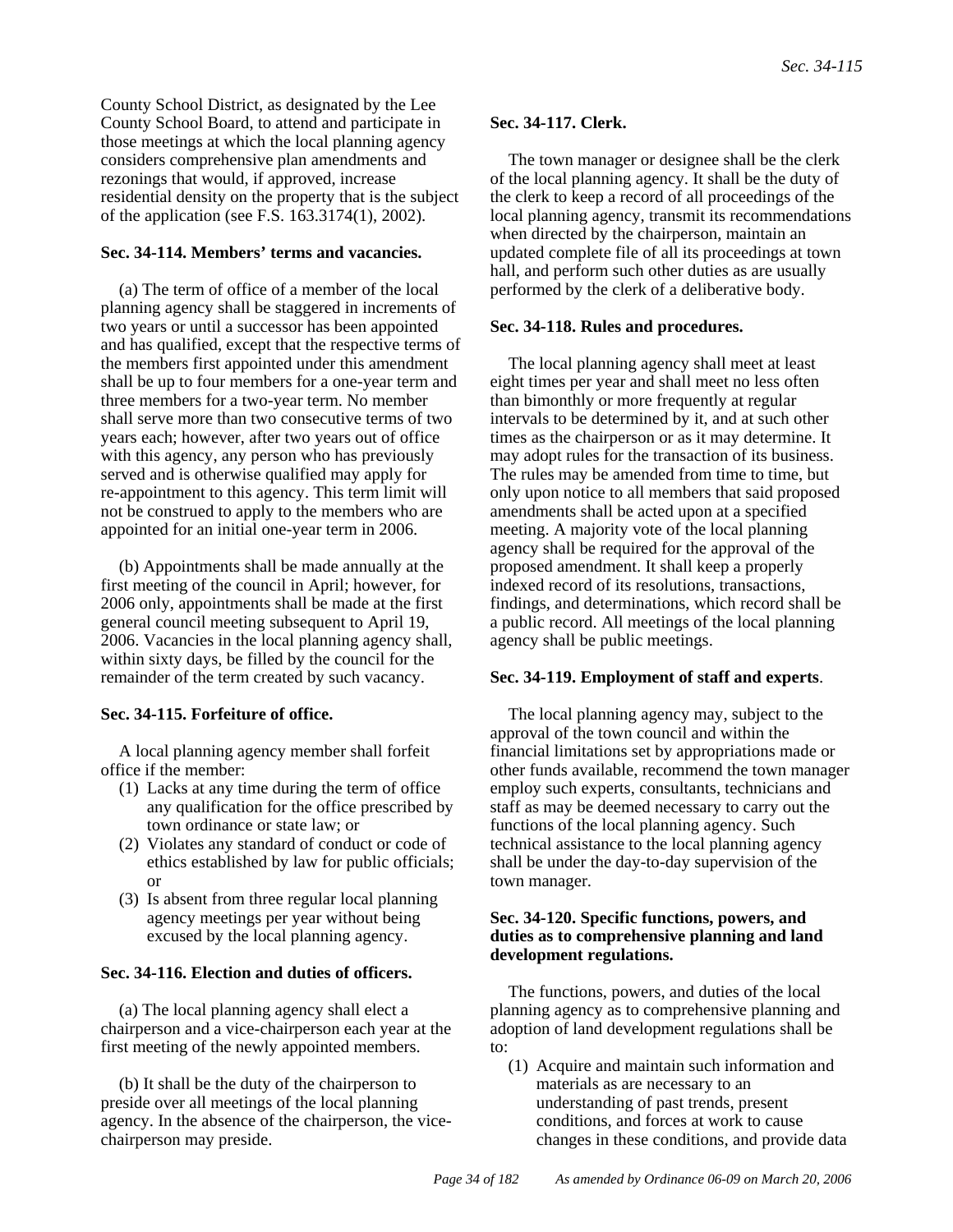County School District, as designated by the Lee County School Board, to attend and participate in those meetings at which the local planning agency considers comprehensive plan amendments and rezonings that would, if approved, increase residential density on the property that is the subject of the application (see F.S. 163.3174(1), 2002).

# **Sec. 34-114. Members' terms and vacancies.**

(a) The term of office of a member of the local planning agency shall be staggered in increments of two years or until a successor has been appointed and has qualified, except that the respective terms of the members first appointed under this amendment shall be up to four members for a one-year term and three members for a two-year term. No member shall serve more than two consecutive terms of two years each; however, after two years out of office with this agency, any person who has previously served and is otherwise qualified may apply for re-appointment to this agency. This term limit will not be construed to apply to the members who are appointed for an initial one-year term in 2006.

(b) Appointments shall be made annually at the first meeting of the council in April; however, for 2006 only, appointments shall be made at the first general council meeting subsequent to April 19, 2006. Vacancies in the local planning agency shall, within sixty days, be filled by the council for the remainder of the term created by such vacancy.

# **Sec. 34-115. Forfeiture of office.**

A local planning agency member shall forfeit office if the member:

- (1) Lacks at any time during the term of office any qualification for the office prescribed by town ordinance or state law; or
- (2) Violates any standard of conduct or code of ethics established by law for public officials; or
- (3) Is absent from three regular local planning agency meetings per year without being excused by the local planning agency.

#### **Sec. 34-116. Election and duties of officers.**

(a) The local planning agency shall elect a chairperson and a vice-chairperson each year at the first meeting of the newly appointed members.

(b) It shall be the duty of the chairperson to preside over all meetings of the local planning agency. In the absence of the chairperson, the vicechairperson may preside.

# **Sec. 34-117. Clerk.**

The town manager or designee shall be the clerk of the local planning agency. It shall be the duty of the clerk to keep a record of all proceedings of the local planning agency, transmit its recommendations when directed by the chairperson, maintain an updated complete file of all its proceedings at town hall, and perform such other duties as are usually performed by the clerk of a deliberative body.

#### **Sec. 34-118. Rules and procedures.**

The local planning agency shall meet at least eight times per year and shall meet no less often than bimonthly or more frequently at regular intervals to be determined by it, and at such other times as the chairperson or as it may determine. It may adopt rules for the transaction of its business. The rules may be amended from time to time, but only upon notice to all members that said proposed amendments shall be acted upon at a specified meeting. A majority vote of the local planning agency shall be required for the approval of the proposed amendment. It shall keep a properly indexed record of its resolutions, transactions, findings, and determinations, which record shall be a public record. All meetings of the local planning agency shall be public meetings.

#### **Sec. 34-119. Employment of staff and experts**.

The local planning agency may, subject to the approval of the town council and within the financial limitations set by appropriations made or other funds available, recommend the town manager employ such experts, consultants, technicians and staff as may be deemed necessary to carry out the functions of the local planning agency. Such technical assistance to the local planning agency shall be under the day-to-day supervision of the town manager.

#### **Sec. 34-120. Specific functions, powers, and duties as to comprehensive planning and land development regulations.**

The functions, powers, and duties of the local planning agency as to comprehensive planning and adoption of land development regulations shall be to:

(1) Acquire and maintain such information and materials as are necessary to an understanding of past trends, present conditions, and forces at work to cause changes in these conditions, and provide data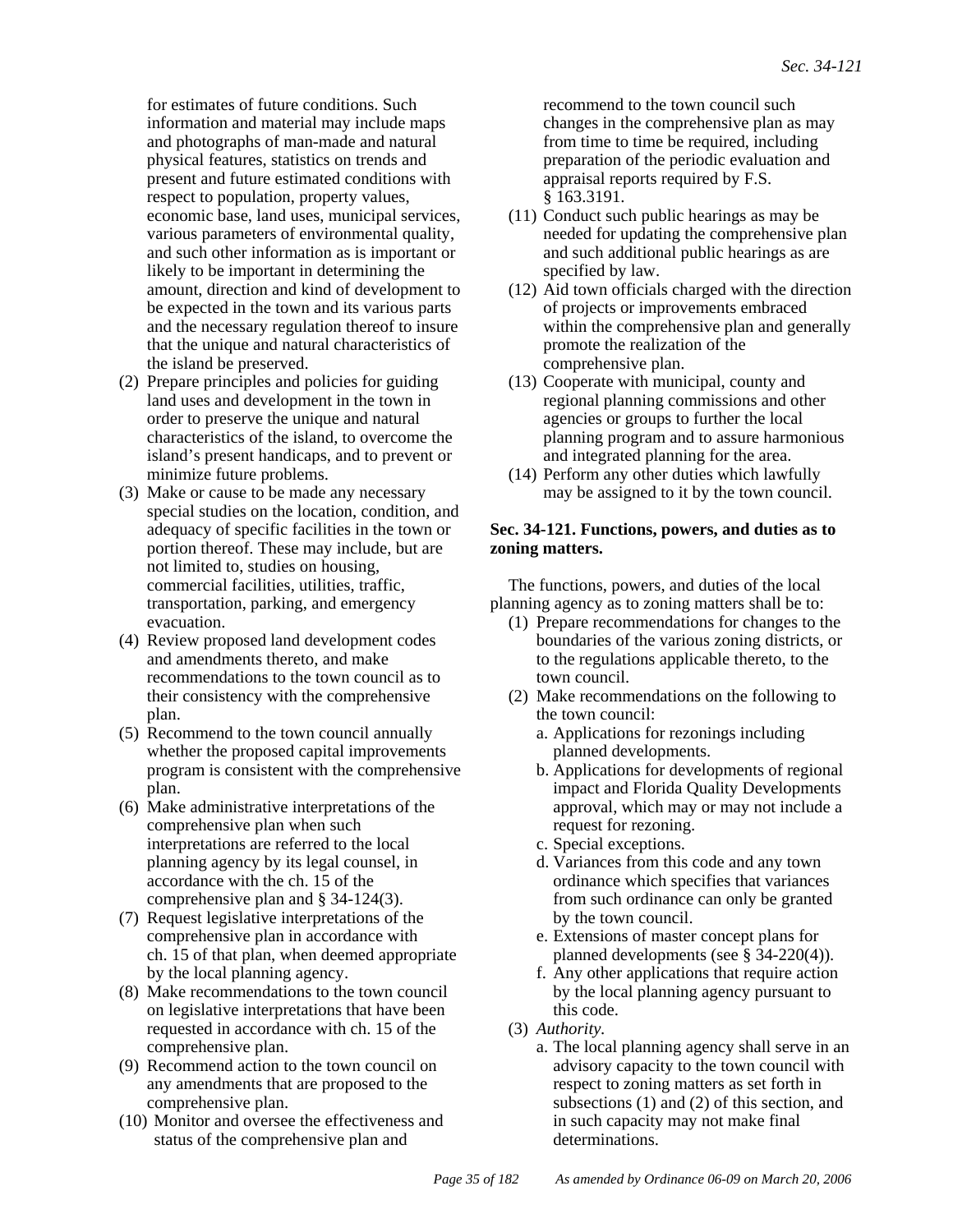for estimates of future conditions. Such information and material may include maps and photographs of man-made and natural physical features, statistics on trends and present and future estimated conditions with respect to population, property values, economic base, land uses, municipal services, various parameters of environmental quality, and such other information as is important or likely to be important in determining the amount, direction and kind of development to be expected in the town and its various parts and the necessary regulation thereof to insure that the unique and natural characteristics of the island be preserved.

- (2) Prepare principles and policies for guiding land uses and development in the town in order to preserve the unique and natural characteristics of the island, to overcome the island's present handicaps, and to prevent or minimize future problems.
- (3) Make or cause to be made any necessary special studies on the location, condition, and adequacy of specific facilities in the town or portion thereof. These may include, but are not limited to, studies on housing, commercial facilities, utilities, traffic, transportation, parking, and emergency evacuation.
- (4) Review proposed land development codes and amendments thereto, and make recommendations to the town council as to their consistency with the comprehensive plan.
- (5) Recommend to the town council annually whether the proposed capital improvements program is consistent with the comprehensive plan.
- (6) Make administrative interpretations of the comprehensive plan when such interpretations are referred to the local planning agency by its legal counsel, in accordance with the ch. 15 of the comprehensive plan and § 34-124(3).
- (7) Request legislative interpretations of the comprehensive plan in accordance with ch. 15 of that plan, when deemed appropriate by the local planning agency.
- (8) Make recommendations to the town council on legislative interpretations that have been requested in accordance with ch. 15 of the comprehensive plan.
- (9) Recommend action to the town council on any amendments that are proposed to the comprehensive plan.
- (10) Monitor and oversee the effectiveness and status of the comprehensive plan and

recommend to the town council such changes in the comprehensive plan as may from time to time be required, including preparation of the periodic evaluation and appraisal reports required by F.S. § 163.3191.

- (11) Conduct such public hearings as may be needed for updating the comprehensive plan and such additional public hearings as are specified by law.
- (12) Aid town officials charged with the direction of projects or improvements embraced within the comprehensive plan and generally promote the realization of the comprehensive plan.
- (13) Cooperate with municipal, county and regional planning commissions and other agencies or groups to further the local planning program and to assure harmonious and integrated planning for the area.
- (14) Perform any other duties which lawfully may be assigned to it by the town council.

## **Sec. 34-121. Functions, powers, and duties as to zoning matters.**

The functions, powers, and duties of the local planning agency as to zoning matters shall be to:

- (1) Prepare recommendations for changes to the boundaries of the various zoning districts, or to the regulations applicable thereto, to the town council.
- (2) Make recommendations on the following to the town council:
	- a. Applications for rezonings including planned developments.
	- b. Applications for developments of regional impact and Florida Quality Developments approval, which may or may not include a request for rezoning.
	- c. Special exceptions.
	- d. Variances from this code and any town ordinance which specifies that variances from such ordinance can only be granted by the town council.
	- e. Extensions of master concept plans for planned developments (see § 34-220(4)).
	- f. Any other applications that require action by the local planning agency pursuant to this code.
- (3) *Authority.*
	- a. The local planning agency shall serve in an advisory capacity to the town council with respect to zoning matters as set forth in subsections (1) and (2) of this section, and in such capacity may not make final determinations.